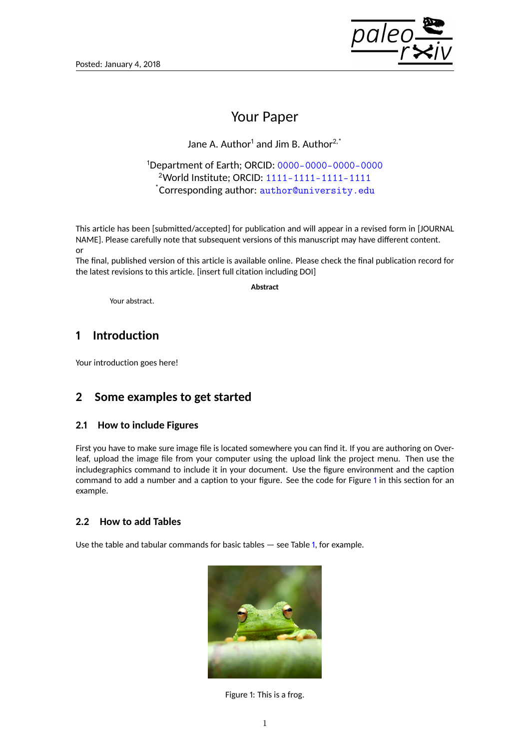

# Your Paper

Jane A. Author<sup>1</sup> and Jim B. Author<sup>2,\*</sup>

<sup>1</sup>Department of Earth; ORCID: [0000-0000-0000-0000](https://orcid.org/0000-0000-0000-0000) <sup>2</sup>World Institute; ORCID: [1111-1111-1111-1111](https://orcid.org/1111-1111-1111-1111) \*Corresponding author: [author@university.edu](mailto:author@university.edu)

This article has been [submitted/accepted] for publication and will appear in a revised form in [JOURNAL NAME]. Please carefully note that subsequent versions of this manuscript may have different content. or

The final, published version of this article is available online. Please check the final publication record for the latest revisions to this article. [insert full citation including DOI]

**Abstract**

Your abstract.

# **1 Introduction**

Your introduction goes here!

# **2 Some examples to get started**

### **2.1 How to include Figures**

First you have to make sure image file is located somewhere you can find it. If you are authoring on Overleaf, upload the image file from your computer using the upload link the project menu. Then use the includegraphics command to include it in your document. Use the figure environment and the caption command to add a number and a caption to your figure. See the code for Figure [1](#page-0-0) in this section for an example.

## **2.2 How to add Tables**

Use the table and tabular commands for basic tables — see Table [1,](#page-1-0) for example.

<span id="page-0-0"></span>

Figure 1: This is a frog.